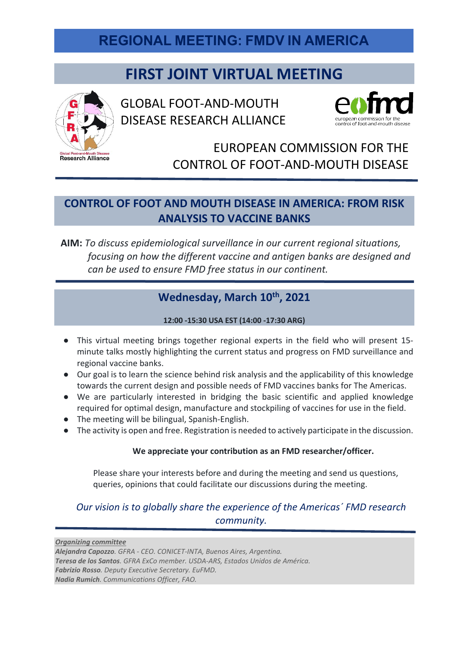## **REGIONAL MEETING: FMDV IN AMERICA**

# **FIRST JOINT VIRTUAL MEETING**



GLOBAL FOOT-AND-MOUTH DISEASE RESEARCH ALLIANCE



## EUROPEAN COMMISSION FOR THE CONTROL OF FOOT-AND-MOUTH DISEASE

### **CONTROL OF FOOT AND MOUTH DISEASE IN AMERICA: FROM RISK ANALYSIS TO VACCINE BANKS**

**AIM:** *To discuss epidemiological surveillance in our current regional situations, focusing on how the different vaccine and antigen banks are designed and can be used to ensure FMD free status in our continent.*

### Wednesday, March 10<sup>th</sup>, 2021

#### **12:00 -15:30 USA EST (14:00 -17:30 ARG)**

- This virtual meeting brings together regional experts in the field who will present 15 minute talks mostly highlighting the current status and progress on FMD surveillance and regional vaccine banks.
- Our goal is to learn the science behind risk analysis and the applicability of this knowledge towards the current design and possible needs of FMD vaccines banks for The Americas.
- We are particularly interested in bridging the basic scientific and applied knowledge required for optimal design, manufacture and stockpiling of vaccines for use in the field.
- The meeting will be bilingual, Spanish-English.
- The activity is open and free. Registration is needed to actively participate in the discussion.

### **We appreciate your contribution as an FMD researcher/officer.**

Please share your interests before and during the meeting and send us questions, queries, opinions that could facilitate our discussions during the meeting.

### *Our vision is to globally share the experience of the Americas´ FMD research community.*

*Organizing committee Alejandra Capozzo. GFRA - CEO. CONICET-INTA, Buenos Aires, Argentina. Teresa de los Santos. GFRA ExCo member. USDA-ARS, Estados Unidos de América. Fabrizio Rosso. Deputy Executive Secretary. EuFMD. Nadia Rumich. Communications Officer, FAO.*